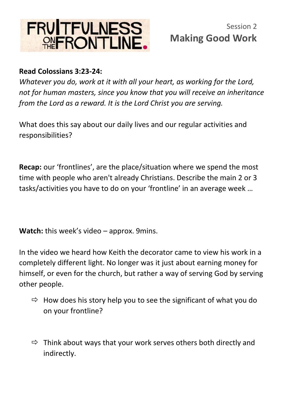

## **Read Colossians 3:23-24:**

*Whatever you do, work at it with all your heart, as working for the Lord, not for human masters, since you know that you will receive an inheritance from the Lord as a reward. It is the Lord Christ you are serving.*

What does this say about our daily lives and our regular activities and responsibilities?

**Recap:** our 'frontlines', are the place/situation where we spend the most time with people who aren't already Christians. Describe the main 2 or 3 tasks/activities you have to do on your 'frontline' in an average week …

**Watch:** this week's video – approx. 9mins.

In the video we heard how Keith the decorator came to view his work in a completely different light. No longer was it just about earning money for himself, or even for the church, but rather a way of serving God by serving other people.

- $\Rightarrow$  How does his story help you to see the significant of what you do on your frontline?
- $\Rightarrow$  Think about ways that your work serves others both directly and indirectly.